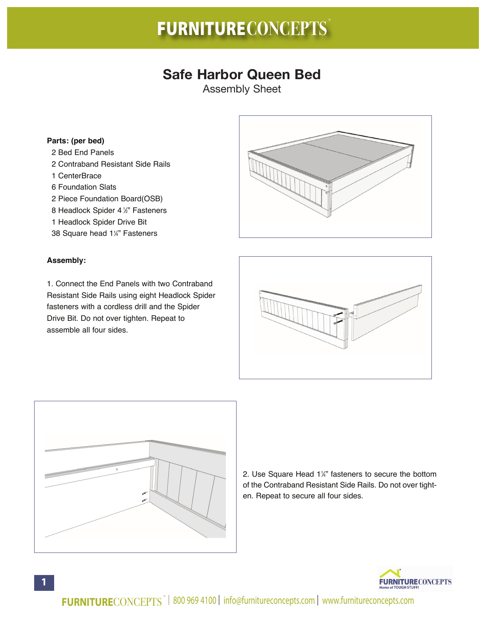# **FURNITURECONCEPTS** ®

## **Safe Harbor Queen Bed**

Assembly Sheet

#### **Parts: (per bed)**

- 2 Bed End Panels
- 2 Contraband Resistant Side Rails
- 1 CenterBrace
- 6 Foundation Slats
- 2 Piece Foundation Board(OSB)
- 8 Headlock Spider 4 <sup>1</sup> ⁄2" Fasteners
- 1 Headlock Spider Drive Bit
- 38 Square head 11 ⁄4" Fasteners

#### **Assembly:**

1. Connect the End Panels with two Contraband Resistant Side Rails using eight Headlock Spider fasteners with a cordless drill and the Spider Drive Bit. Do not over tighten. Repeat to assemble all four sides.







2. Use Square Head 1¼" fasteners to secure the bottom of the Contraband Resistant Side Rails. Do not over tighten. Repeat to secure all four sides.